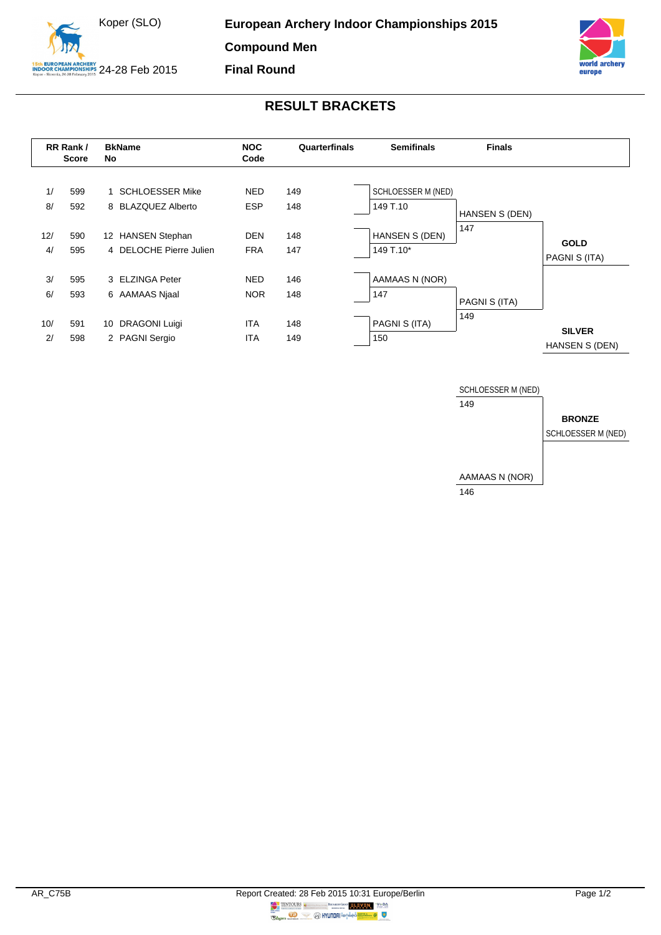



## **RESULT BRACKETS**